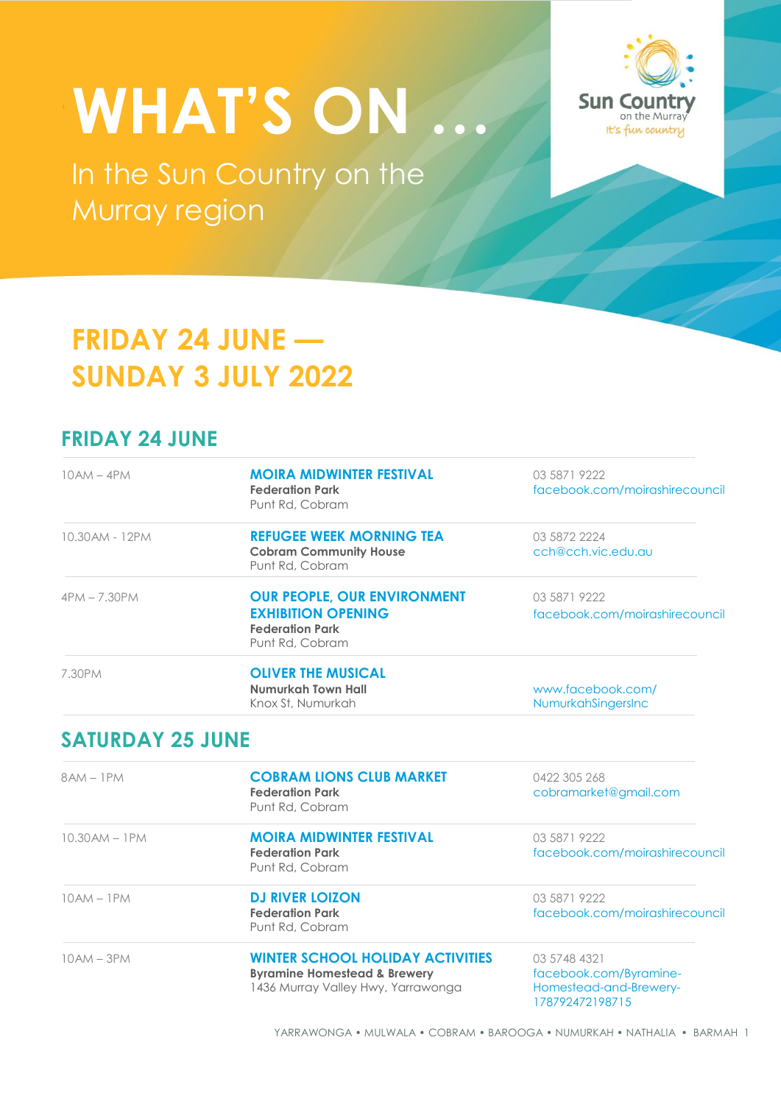# **WHAT'S ON …**

In the Sun Country on the Murray region



# **FRIDAY 24 JUNE — SUNDAY 3 JULY 2022**

## **FRIDAY 24 JUNE**

| $10AM - 4PM$   | <b>MOIRA MIDWINTER FESTIVAL</b><br><b>Federation Park</b><br>Punt Rd, Cobram                                 | 03 5871 9222<br>facebook.com/moirashirecouncil |
|----------------|--------------------------------------------------------------------------------------------------------------|------------------------------------------------|
| 10.30AM - 12PM | <b>REFUGEE WEEK MORNING TEA</b><br><b>Cobram Community House</b><br>Punt Rd, Cobram                          | 03 5872 2224<br>cch@cch.vic.edu.au             |
| 4PM - 7.30PM   | <b>OUR PEOPLE, OUR ENVIRONMENT</b><br><b>EXHIBITION OPENING</b><br><b>Federation Park</b><br>Punt Rd, Cobram | 03 5871 9222<br>facebook.com/moirashirecouncil |
| 7.30PM         | <b>OLIVER THE MUSICAL</b><br>Numurkah Town Hall<br>Knox St, Numurkah                                         | www.facebook.com/<br>NumurkahSingersInc        |

## **SATURDAY 25 JUNE**

| $8AM - 1PM$        | <b>COBRAM LIONS CLUB MARKET</b><br><b>Federation Park</b><br>Punt Rd, Cobram                                             | 0422 305 268<br>cobramarket@gmail.com                                               |
|--------------------|--------------------------------------------------------------------------------------------------------------------------|-------------------------------------------------------------------------------------|
| $10.30$ AM $-1$ PM | <b>MOIRA MIDWINTER FESTIVAL</b><br><b>Federation Park</b><br>Punt Rd, Cobram                                             | 03 5871 9222<br>facebook.com/moirashirecouncil                                      |
| $10AM - 1PM$       | <b>DJ RIVER LOIZON</b><br><b>Federation Park</b><br>Punt Rd, Cobram                                                      | 03 5871 9222<br>facebook.com/moirashirecouncil                                      |
| $10AM - 3PM$       | <b>WINTER SCHOOL HOLIDAY ACTIVITIES</b><br><b>Byramine Homestead &amp; Brewery</b><br>1436 Murray Valley Hwy, Yarrawonga | 03 5748 4321<br>facebook.com/Byramine-<br>Homestead-and-Brewery-<br>178792472198715 |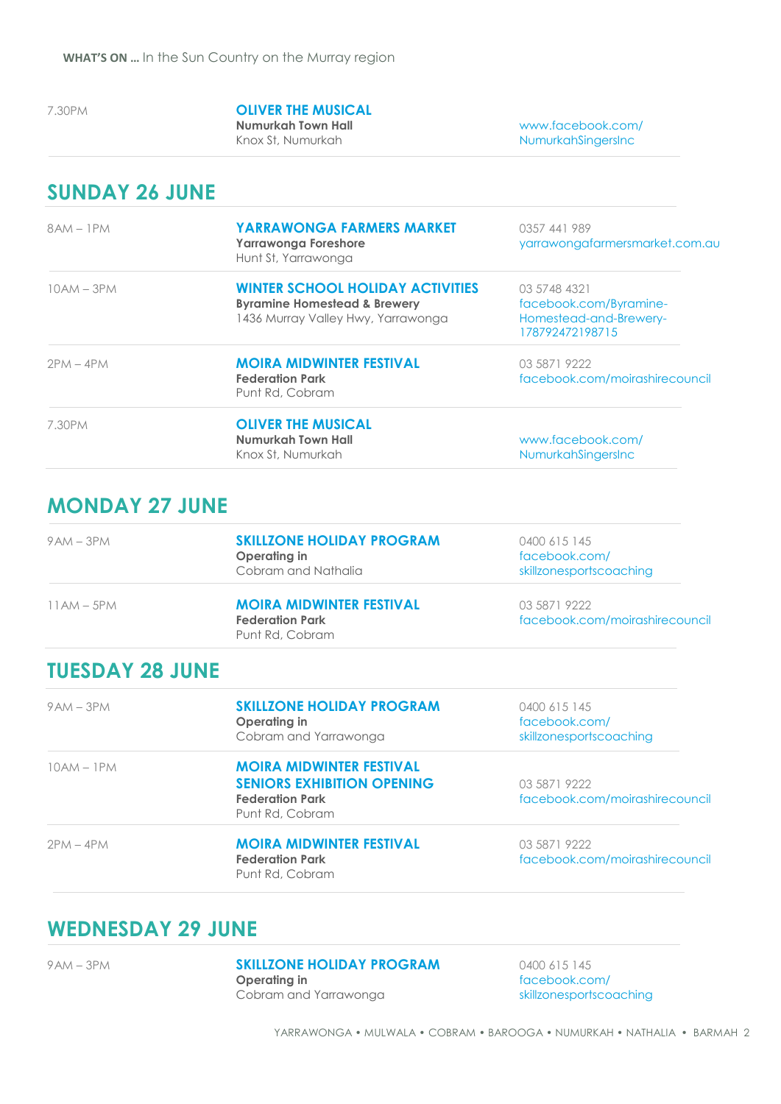## 7.30PM **OLIVER THE MUSICAL**

**Numurkah Town Hall** www.facebook.com/ NumurkahSingersInc

#### **SUNDAY 26 JUNE**

| $8AM - 1PM$  | <b>YARRAWONGA FARMERS MARKET</b><br><b>Yarrawonga Foreshore</b><br>Hunt St, Yarrawonga                                   | 0357 441 989<br>yarrawongafarmersmarket.com.au                                      |
|--------------|--------------------------------------------------------------------------------------------------------------------------|-------------------------------------------------------------------------------------|
| $10AM - 3PM$ | <b>WINTER SCHOOL HOLIDAY ACTIVITIES</b><br><b>Byramine Homestead &amp; Brewery</b><br>1436 Murray Valley Hwy, Yarrawonga | 03 5748 4321<br>facebook.com/Byramine-<br>Homestead-and-Brewery-<br>178792472198715 |
| $2PM - 4PM$  | <b>MOIRA MIDWINTER FESTIVAL</b><br><b>Federation Park</b><br>Punt Rd, Cobram                                             | 03 5871 9222<br>facebook.com/moirashirecouncil                                      |
| 7.30PM       | <b>OLIVER THE MUSICAL</b><br>Numurkah Town Hall<br>Knox St, Numurkah                                                     | www.facebook.com/<br>NumurkahSingersInc                                             |

### **MONDAY 27 JUNE**

| $9AM - 3PM$  | <b>SKILLZONE HOLIDAY PROGRAM</b><br>Operating in<br>Cobram and Nathalia      | 0400 615 145<br>facebook.com/<br>skillzonesportscoaching |
|--------------|------------------------------------------------------------------------------|----------------------------------------------------------|
| $11AM - 5PM$ | <b>MOIRA MIDWINTER FESTIVAL</b><br><b>Federation Park</b><br>Punt Rd, Cobram | 03 5871 9222<br>facebook.com/moirashirecouncil           |

### **TUESDAY 28 JUNE**

| $9AM - 3PM$  | <b>SKILLZONE HOLIDAY PROGRAM</b><br>Operating in<br>Cobram and Yarrawonga                                         | 0400 615 145<br>facebook.com/<br>skillzonesportscoaching |
|--------------|-------------------------------------------------------------------------------------------------------------------|----------------------------------------------------------|
| $10AM - 1PM$ | <b>MOIRA MIDWINTER FESTIVAL</b><br><b>SENIORS EXHIBITION OPENING</b><br><b>Federation Park</b><br>Punt Rd, Cobram | 03 5871 9222<br>facebook.com/moirashirecouncil           |
| $2PM - 4PM$  | <b>MOIRA MIDWINTER FESTIVAL</b><br><b>Federation Park</b><br>Punt Rd, Cobram                                      | 03 5871 9222<br>facebook.com/moirashirecouncil           |

### **WEDNESDAY 29 JUNE**

#### 9AM – 3PM **SKILLZONE HOLIDAY PROGRAM** 0400 615 145<br>**Operating in contains the facebook.co** Cobram and Yarrawonga skillzonesportscoaching

[facebook.com/](https://www.facebook.com/skillzonesportscoaching)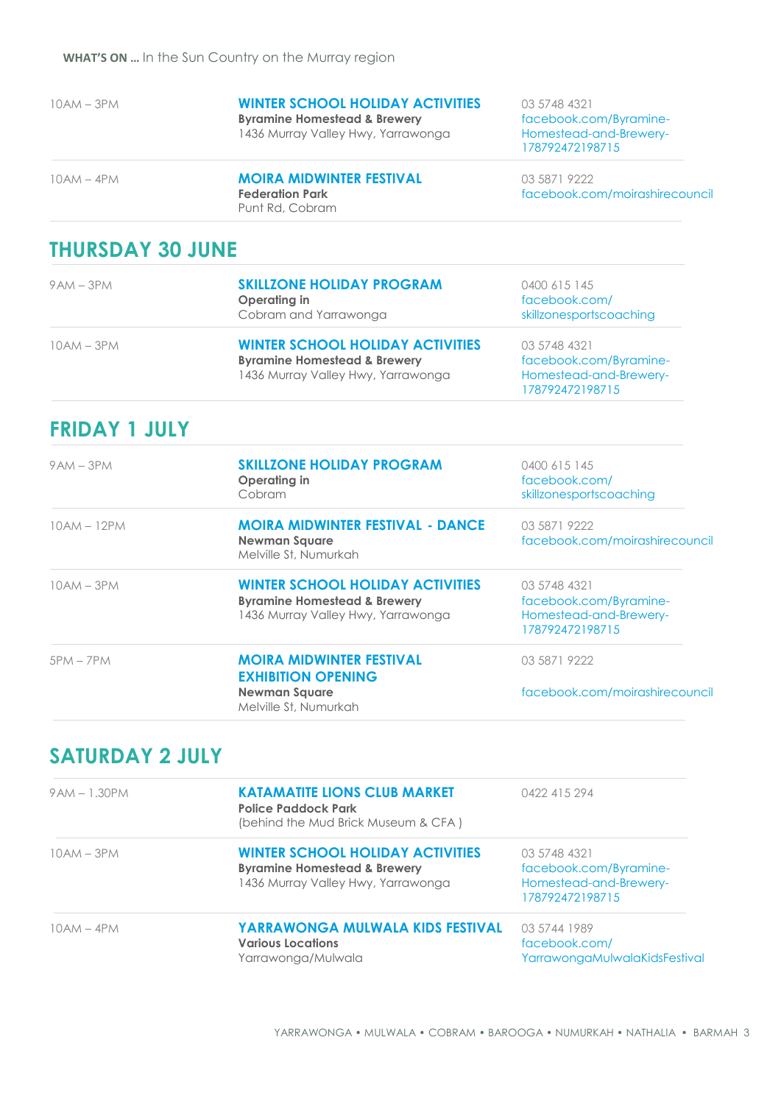|  |  |  |  |  | 10AM – 3PM |  |  |
|--|--|--|--|--|------------|--|--|
|--|--|--|--|--|------------|--|--|

1436 Murray Valley Hwy, Yarrawonga

Punt Rd, Cobram

**WINTER SCHOOL HOLIDAY ACTIVITIES** 03 5748 4321<br>**Byramine Homestead & Brewery** facebook.com/Byramine-**Byramine Homestead & Brewery** facebook.com/Byramine-<br>1436 Murray Valley Hwy, Yarrawonga Homestead-and-Brewery-178792472198715

10AM – 4PM **MOIRA MIDWINTER FESTIVAL** 03 5871 9222<br>**Federation Park** facebook.co **Federation Park** facebook.com/moirashirecouncil

### **THURSDAY 30 JUNE**

| $9AM - 3PM$ | <b>SKILLZONE HOLIDAY PROGRAM</b><br>Operating in<br>Cobram and Yarrawonga                                                | 0400 615 145<br>facebook.com/<br>skillzonesportscoaching                            |  |
|-------------|--------------------------------------------------------------------------------------------------------------------------|-------------------------------------------------------------------------------------|--|
| 10AM – 3PM  | <b>WINTER SCHOOL HOLIDAY ACTIVITIES</b><br><b>Byramine Homestead &amp; Brewery</b><br>1436 Murray Valley Hwy, Yarrawonga | 03 5748 4321<br>facebook.com/Byramine-<br>Homestead-and-Brewery-<br>178792472198715 |  |

#### **FRIDAY 1 JULY**

| $9AM - 3PM$   | <b>SKILLZONE HOLIDAY PROGRAM</b><br>Operating in<br>Cobram                                                               | 0400 615 145<br>facebook.com/<br>skillzonesportscoaching                            |
|---------------|--------------------------------------------------------------------------------------------------------------------------|-------------------------------------------------------------------------------------|
| $10AM - 12PM$ | <b>MOIRA MIDWINTER FESTIVAL - DANCE</b><br><b>Newman Square</b><br>Melville St. Numurkah                                 | 03 5871 9222<br>facebook.com/moirashirecouncil                                      |
| $10AM - 3PM$  | <b>WINTER SCHOOL HOLIDAY ACTIVITIES</b><br><b>Byramine Homestead &amp; Brewery</b><br>1436 Murray Valley Hwy, Yarrawonga | 03 5748 4321<br>facebook.com/Byramine-<br>Homestead-and-Brewery-<br>178792472198715 |
| $5PM - 7PM$   | <b>MOIRA MIDWINTER FESTIVAL</b><br><b>EXHIBITION OPENING</b>                                                             | 03 5871 9222                                                                        |
|               | <b>Newman Square</b><br>Melville St. Numurkah                                                                            | facebook.com/moirashirecouncil                                                      |

#### **SATURDAY 2 JULY**

| $9AM - 1.30PM$ | <b>KATAMATITE LIONS CLUB MARKET</b><br><b>Police Paddock Park</b><br>(behind the Mud Brick Museum & CFA)                 | 0422 415 294                                                                        |
|----------------|--------------------------------------------------------------------------------------------------------------------------|-------------------------------------------------------------------------------------|
| $10AM - 3PM$   | <b>WINTER SCHOOL HOLIDAY ACTIVITIES</b><br><b>Byramine Homestead &amp; Brewery</b><br>1436 Murray Valley Hwy, Yarrawonga | 03 5748 4321<br>facebook.com/Byramine-<br>Homestead-and-Brewery-<br>178792472198715 |
| $10AM - 4PM$   | <b>YARRAWONGA MULWALA KIDS FESTIVAL</b><br><b>Various Locations</b><br>Yarrawonga/Mulwala                                | 03 5744 1989<br>facebook.com/<br>YarrawongaMulwalaKidsFestival                      |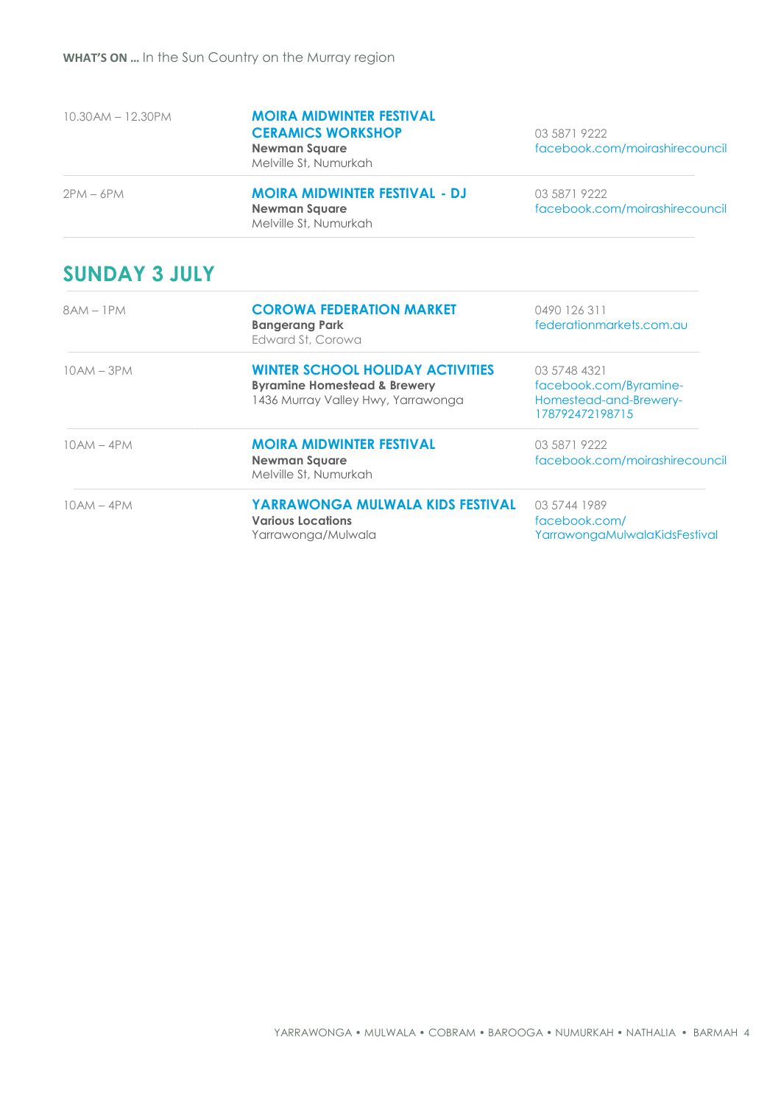| $10.30$ AM $- 12.30$ PM | <b>MOIRA MIDWINTER FESTIVAL</b><br><b>CERAMICS WORKSHOP</b><br><b>Newman Square</b><br>Melville St, Numurkah | 03 5871 9222<br>facebook.com/moirashirecouncil |
|-------------------------|--------------------------------------------------------------------------------------------------------------|------------------------------------------------|
| $2PM - 6PM$             | <b>MOIRA MIDWINTER FESTIVAL - DJ</b><br><b>Newman Square</b><br>Melville St, Numurkah                        | 03 5871 9222<br>facebook.com/moirashirecouncil |

## **SUNDAY 3 JULY**

| $8AM - 1PM$  | <b>COROWA FEDERATION MARKET</b><br><b>Bangerang Park</b><br>Edward St. Corowa                                            | 0490 126 311<br>federationmarkets.com.au                                            |
|--------------|--------------------------------------------------------------------------------------------------------------------------|-------------------------------------------------------------------------------------|
| $10AM - 3PM$ | <b>WINTER SCHOOL HOLIDAY ACTIVITIES</b><br><b>Byramine Homestead &amp; Brewery</b><br>1436 Murray Valley Hwy, Yarrawonga | 03 5748 4321<br>facebook.com/Byramine-<br>Homestead-and-Brewery-<br>178792472198715 |
| $10AM - 4PM$ | <b>MOIRA MIDWINTER FESTIVAL</b><br><b>Newman Square</b><br>Melville St. Numurkah                                         | 03 5871 9222<br>facebook.com/moirashirecouncil                                      |
| $10AM - 4PM$ | YARRAWONGA MULWALA KIDS FESTIVAL<br><b>Various Locations</b><br>Yarrawonga/Mulwala                                       | 03 5744 1989<br>facebook.com/<br>YarrawongaMulwalaKidsFestival                      |